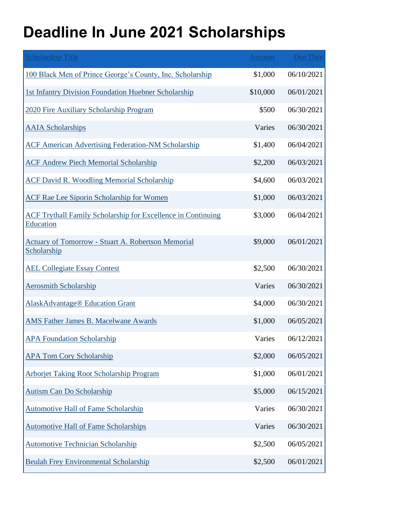## **Deadline In June 2021 Scholarships**

| <b>Scholarship Title</b>                                                  | <b>Amount</b> | <b>Due Date</b> |
|---------------------------------------------------------------------------|---------------|-----------------|
| 100 Black Men of Prince George's County, Inc. Scholarship                 | \$1,000       | 06/10/2021      |
| 1st Infantry Division Foundation Huebner Scholarship                      | \$10,000      | 06/01/2021      |
| 2020 Fire Auxiliary Scholarship Program                                   | \$500         | 06/30/2021      |
| <b>AAIA</b> Scholarships                                                  | Varies        | 06/30/2021      |
| <b>ACF American Advertising Federation-NM Scholarship</b>                 | \$1,400       | 06/04/2021      |
| <b>ACF Andrew Piech Memorial Scholarship</b>                              | \$2,200       | 06/03/2021      |
| <b>ACF David R. Woodling Memorial Scholarship</b>                         | \$4,600       | 06/03/2021      |
| <b>ACF Rae Lee Siporin Scholarship for Women</b>                          | \$1,000       | 06/03/2021      |
| ACF Trythall Family Scholarship for Excellence in Continuing<br>Education | \$3,000       | 06/04/2021      |
| <b>Actuary of Tomorrow - Stuart A. Robertson Memorial</b><br>Scholarship  | \$9,000       | 06/01/2021      |
| <b>AEL Collegiate Essay Contest</b>                                       | \$2,500       | 06/30/2021      |
| <b>Aerosmith Scholarship</b>                                              | Varies        | 06/30/2021      |
| <b>AlaskAdvantage® Education Grant</b>                                    | \$4,000       | 06/30/2021      |
| <b>AMS Father James B. Macelwane Awards</b>                               | \$1,000       | 06/05/2021      |
| <b>APA Foundation Scholarship</b>                                         | Varies        | 06/12/2021      |
| <b>APA Tom Cory Scholarship</b>                                           | \$2,000       | 06/05/2021      |
| Arborjet Taking Root Scholarship Program                                  | \$1,000       | 06/01/2021      |
| <b>Autism Can Do Scholarship</b>                                          | \$5,000       | 06/15/2021      |
| <b>Automotive Hall of Fame Scholarship</b>                                | Varies        | 06/30/2021      |
| <b>Automotive Hall of Fame Scholarships</b>                               | Varies        | 06/30/2021      |
| <b>Automotive Technician Scholarship</b>                                  | \$2,500       | 06/05/2021      |
| <b>Beulah Frey Environmental Scholarship</b>                              | \$2,500       | 06/01/2021      |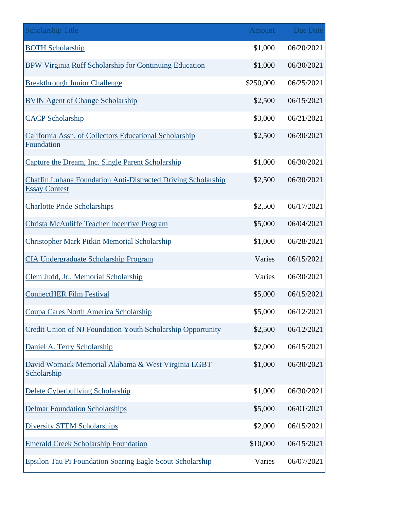| <b>Scholarship Title</b>                                                                     | <b>Amount</b> | Due Date   |
|----------------------------------------------------------------------------------------------|---------------|------------|
| <b>BOTH Scholarship</b>                                                                      | \$1,000       | 06/20/2021 |
| BPW Virginia Ruff Scholarship for Continuing Education                                       | \$1,000       | 06/30/2021 |
| <b>Breakthrough Junior Challenge</b>                                                         | \$250,000     | 06/25/2021 |
| <b>BVIN Agent of Change Scholarship</b>                                                      | \$2,500       | 06/15/2021 |
| <b>CACP Scholarship</b>                                                                      | \$3,000       | 06/21/2021 |
| California Assn. of Collectors Educational Scholarship<br>Foundation                         | \$2,500       | 06/30/2021 |
| Capture the Dream, Inc. Single Parent Scholarship                                            | \$1,000       | 06/30/2021 |
| <b>Chaffin Luhana Foundation Anti-Distracted Driving Scholarship</b><br><b>Essay Contest</b> | \$2,500       | 06/30/2021 |
| <b>Charlotte Pride Scholarships</b>                                                          | \$2,500       | 06/17/2021 |
| Christa McAuliffe Teacher Incentive Program                                                  | \$5,000       | 06/04/2021 |
| <b>Christopher Mark Pitkin Memorial Scholarship</b>                                          | \$1,000       | 06/28/2021 |
| <b>CIA Undergraduate Scholarship Program</b>                                                 | Varies        | 06/15/2021 |
| Clem Judd, Jr., Memorial Scholarship                                                         | Varies        | 06/30/2021 |
| <b>ConnectHER Film Festival</b>                                                              | \$5,000       | 06/15/2021 |
| Coupa Cares North America Scholarship                                                        | \$5,000       | 06/12/2021 |
| Credit Union of NJ Foundation Youth Scholarship Opportunity                                  | \$2,500       | 06/12/2021 |
| Daniel A. Terry Scholarship                                                                  | \$2,000       | 06/15/2021 |
| David Womack Memorial Alabama & West Virginia LGBT<br>Scholarship                            | \$1,000       | 06/30/2021 |
| Delete Cyberbullying Scholarship                                                             | \$1,000       | 06/30/2021 |
| <b>Delmar Foundation Scholarships</b>                                                        | \$5,000       | 06/01/2021 |
| <b>Diversity STEM Scholarships</b>                                                           | \$2,000       | 06/15/2021 |
| <b>Emerald Creek Scholarship Foundation</b>                                                  | \$10,000      | 06/15/2021 |
| <b>Epsilon Tau Pi Foundation Soaring Eagle Scout Scholarship</b>                             | Varies        | 06/07/2021 |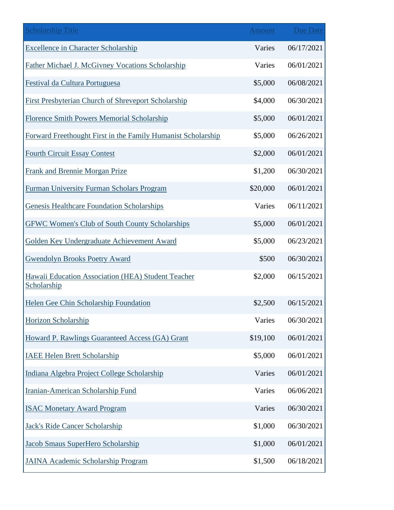| <b>Scholarship Title</b>                                          | <b>Amount</b> | <b>Due Date</b> |
|-------------------------------------------------------------------|---------------|-----------------|
| <b>Excellence in Character Scholarship</b>                        | Varies        | 06/17/2021      |
| Father Michael J. McGivney Vocations Scholarship                  | Varies        | 06/01/2021      |
| Festival da Cultura Portuguesa                                    | \$5,000       | 06/08/2021      |
| <b>First Presbyterian Church of Shreveport Scholarship</b>        | \$4,000       | 06/30/2021      |
| <b>Florence Smith Powers Memorial Scholarship</b>                 | \$5,000       | 06/01/2021      |
| Forward Freethought First in the Family Humanist Scholarship      | \$5,000       | 06/26/2021      |
| <b>Fourth Circuit Essay Contest</b>                               | \$2,000       | 06/01/2021      |
| Frank and Brennie Morgan Prize                                    | \$1,200       | 06/30/2021      |
| Furman University Furman Scholars Program                         | \$20,000      | 06/01/2021      |
| <b>Genesis Healthcare Foundation Scholarships</b>                 | Varies        | 06/11/2021      |
| <b>GFWC Women's Club of South County Scholarships</b>             | \$5,000       | 06/01/2021      |
| Golden Key Undergraduate Achievement Award                        | \$5,000       | 06/23/2021      |
| <b>Gwendolyn Brooks Poetry Award</b>                              | \$500         | 06/30/2021      |
| Hawaii Education Association (HEA) Student Teacher<br>Scholarship | \$2,000       | 06/15/2021      |
| Helen Gee Chin Scholarship Foundation                             | \$2,500       | 06/15/2021      |
| Horizon Scholarship                                               | Varies        | 06/30/2021      |
| Howard P. Rawlings Guaranteed Access (GA) Grant                   | \$19,100      | 06/01/2021      |
| <b>IAEE Helen Brett Scholarship</b>                               | \$5,000       | 06/01/2021      |
| Indiana Algebra Project College Scholarship                       | Varies        | 06/01/2021      |
| <b>Iranian-American Scholarship Fund</b>                          | Varies        | 06/06/2021      |
| <b>ISAC Monetary Award Program</b>                                | Varies        | 06/30/2021      |
| <b>Jack's Ride Cancer Scholarship</b>                             | \$1,000       | 06/30/2021      |
| Jacob Smaus SuperHero Scholarship                                 | \$1,000       | 06/01/2021      |
| <b>JAINA Academic Scholarship Program</b>                         | \$1,500       | 06/18/2021      |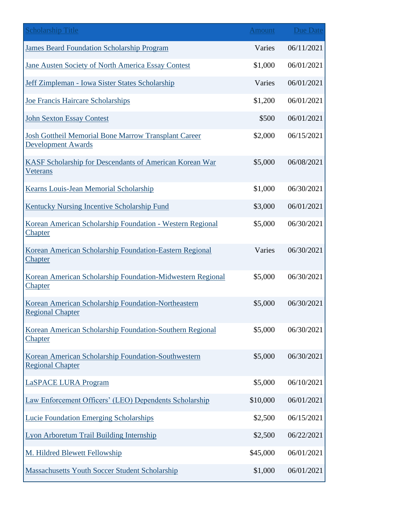| <b>Scholarship Title</b>                                                                 | <b>Amount</b> | Due Date   |
|------------------------------------------------------------------------------------------|---------------|------------|
| <b>James Beard Foundation Scholarship Program</b>                                        | Varies        | 06/11/2021 |
| Jane Austen Society of North America Essay Contest                                       | \$1,000       | 06/01/2021 |
| Jeff Zimpleman - Iowa Sister States Scholarship                                          | Varies        | 06/01/2021 |
| <b>Joe Francis Haircare Scholarships</b>                                                 | \$1,200       | 06/01/2021 |
| <b>John Sexton Essay Contest</b>                                                         | \$500         | 06/01/2021 |
| <b>Josh Gottheil Memorial Bone Marrow Transplant Career</b><br><b>Development Awards</b> | \$2,000       | 06/15/2021 |
| KASF Scholarship for Descendants of American Korean War<br><b>Veterans</b>               | \$5,000       | 06/08/2021 |
| Kearns Louis-Jean Memorial Scholarship                                                   | \$1,000       | 06/30/2021 |
| <b>Kentucky Nursing Incentive Scholarship Fund</b>                                       | \$3,000       | 06/01/2021 |
| Korean American Scholarship Foundation - Western Regional<br><b>Chapter</b>              | \$5,000       | 06/30/2021 |
| Korean American Scholarship Foundation-Eastern Regional<br><b>Chapter</b>                | Varies        | 06/30/2021 |
| Korean American Scholarship Foundation-Midwestern Regional<br><b>Chapter</b>             | \$5,000       | 06/30/2021 |
| Korean American Scholarship Foundation-Northeastern<br><b>Regional Chapter</b>           | \$5,000       | 06/30/2021 |
| Korean American Scholarship Foundation-Southern Regional<br><b>Chapter</b>               | \$5,000       | 06/30/2021 |
| Korean American Scholarship Foundation-Southwestern<br><b>Regional Chapter</b>           | \$5,000       | 06/30/2021 |
| <b>LaSPACE LURA Program</b>                                                              | \$5,000       | 06/10/2021 |
| Law Enforcement Officers' (LEO) Dependents Scholarship                                   | \$10,000      | 06/01/2021 |
| <b>Lucie Foundation Emerging Scholarships</b>                                            | \$2,500       | 06/15/2021 |
| <b>Lyon Arboretum Trail Building Internship</b>                                          | \$2,500       | 06/22/2021 |
| M. Hildred Blewett Fellowship                                                            | \$45,000      | 06/01/2021 |
| <b>Massachusetts Youth Soccer Student Scholarship</b>                                    | \$1,000       | 06/01/2021 |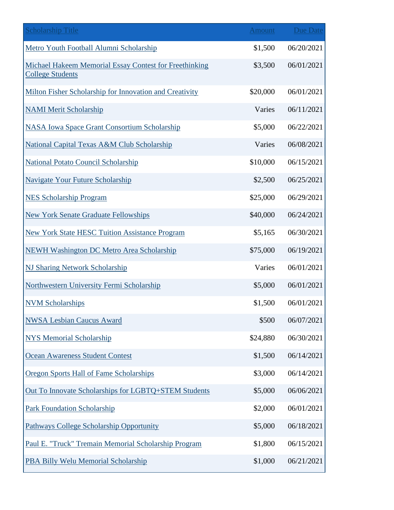| <b>Scholarship Title</b>                                                          | <b>Amount</b> | Due Date   |
|-----------------------------------------------------------------------------------|---------------|------------|
| Metro Youth Football Alumni Scholarship                                           | \$1,500       | 06/20/2021 |
| Michael Hakeem Memorial Essay Contest for Freethinking<br><b>College Students</b> | \$3,500       | 06/01/2021 |
| Milton Fisher Scholarship for Innovation and Creativity                           | \$20,000      | 06/01/2021 |
| <b>NAMI Merit Scholarship</b>                                                     | Varies        | 06/11/2021 |
| <b>NASA Iowa Space Grant Consortium Scholarship</b>                               | \$5,000       | 06/22/2021 |
| National Capital Texas A&M Club Scholarship                                       | Varies        | 06/08/2021 |
| <b>National Potato Council Scholarship</b>                                        | \$10,000      | 06/15/2021 |
| <b>Navigate Your Future Scholarship</b>                                           | \$2,500       | 06/25/2021 |
| <b>NES Scholarship Program</b>                                                    | \$25,000      | 06/29/2021 |
| <b>New York Senate Graduate Fellowships</b>                                       | \$40,000      | 06/24/2021 |
| <b>New York State HESC Tuition Assistance Program</b>                             | \$5,165       | 06/30/2021 |
| <b>NEWH Washington DC Metro Area Scholarship</b>                                  | \$75,000      | 06/19/2021 |
| <b>NJ Sharing Network Scholarship</b>                                             | Varies        | 06/01/2021 |
| Northwestern University Fermi Scholarship                                         | \$5,000       | 06/01/2021 |
| <b>NVM Scholarships</b>                                                           | \$1,500       | 06/01/2021 |
| <b>NWSA Lesbian Caucus Award</b>                                                  | \$500         | 06/07/2021 |
| <b>NYS Memorial Scholarship</b>                                                   | \$24,880      | 06/30/2021 |
| Ocean Awareness Student Contest                                                   | \$1,500       | 06/14/2021 |
| <b>Oregon Sports Hall of Fame Scholarships</b>                                    | \$3,000       | 06/14/2021 |
| Out To Innovate Scholarships for LGBTQ+STEM Students                              | \$5,000       | 06/06/2021 |
| <b>Park Foundation Scholarship</b>                                                | \$2,000       | 06/01/2021 |
| <b>Pathways College Scholarship Opportunity</b>                                   | \$5,000       | 06/18/2021 |
| Paul E. "Truck" Tremain Memorial Scholarship Program                              | \$1,800       | 06/15/2021 |
| PBA Billy Welu Memorial Scholarship                                               | \$1,000       | 06/21/2021 |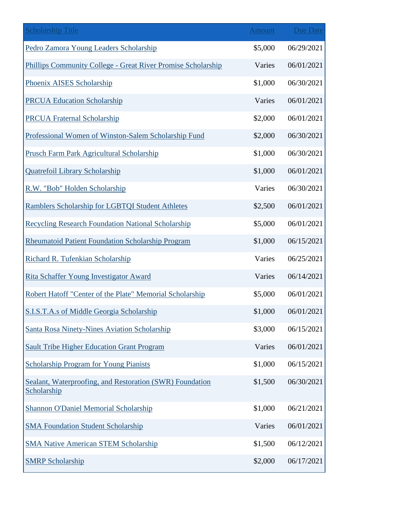| <b>Scholarship Title</b>                                                | Amount  | <b>Due Date</b> |
|-------------------------------------------------------------------------|---------|-----------------|
| Pedro Zamora Young Leaders Scholarship                                  | \$5,000 | 06/29/2021      |
| Phillips Community College - Great River Promise Scholarship            | Varies  | 06/01/2021      |
| Phoenix AISES Scholarship                                               | \$1,000 | 06/30/2021      |
| <b>PRCUA Education Scholarship</b>                                      | Varies  | 06/01/2021      |
| <b>PRCUA Fraternal Scholarship</b>                                      | \$2,000 | 06/01/2021      |
| Professional Women of Winston-Salem Scholarship Fund                    | \$2,000 | 06/30/2021      |
| Prusch Farm Park Agricultural Scholarship                               | \$1,000 | 06/30/2021      |
| <b>Quatrefoil Library Scholarship</b>                                   | \$1,000 | 06/01/2021      |
| R.W. "Bob" Holden Scholarship                                           | Varies  | 06/30/2021      |
| <b>Ramblers Scholarship for LGBTQI Student Athletes</b>                 | \$2,500 | 06/01/2021      |
| <b>Recycling Research Foundation National Scholarship</b>               | \$5,000 | 06/01/2021      |
| <b>Rheumatoid Patient Foundation Scholarship Program</b>                | \$1,000 | 06/15/2021      |
| Richard R. Tufenkian Scholarship                                        | Varies  | 06/25/2021      |
| Rita Schaffer Young Investigator Award                                  | Varies  | 06/14/2021      |
| Robert Hatoff "Center of the Plate" Memorial Scholarship                | \$5,000 | 06/01/2021      |
| S.I.S.T.A.s of Middle Georgia Scholarship                               | \$1,000 | 06/01/2021      |
| <b>Santa Rosa Ninety-Nines Aviation Scholarship</b>                     | \$3,000 | 06/15/2021      |
| <b>Sault Tribe Higher Education Grant Program</b>                       | Varies  | 06/01/2021      |
| <b>Scholarship Program for Young Pianists</b>                           | \$1,000 | 06/15/2021      |
| Sealant, Waterproofing, and Restoration (SWR) Foundation<br>Scholarship | \$1,500 | 06/30/2021      |
| <b>Shannon O'Daniel Memorial Scholarship</b>                            | \$1,000 | 06/21/2021      |
| <b>SMA Foundation Student Scholarship</b>                               | Varies  | 06/01/2021      |
| <b>SMA Native American STEM Scholarship</b>                             | \$1,500 | 06/12/2021      |
| <b>SMRP Scholarship</b>                                                 | \$2,000 | 06/17/2021      |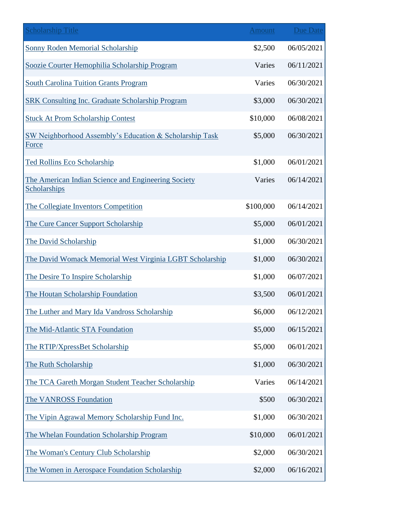| <b>Scholarship Title</b>                                            | <b>Amount</b> | <b>Due Date</b> |
|---------------------------------------------------------------------|---------------|-----------------|
| <b>Sonny Roden Memorial Scholarship</b>                             | \$2,500       | 06/05/2021      |
| Soozie Courter Hemophilia Scholarship Program                       | Varies        | 06/11/2021      |
| <b>South Carolina Tuition Grants Program</b>                        | Varies        | 06/30/2021      |
| <b>SRK Consulting Inc. Graduate Scholarship Program</b>             | \$3,000       | 06/30/2021      |
| <b>Stuck At Prom Scholarship Contest</b>                            | \$10,000      | 06/08/2021      |
| SW Neighborhood Assembly's Education & Scholarship Task<br>Force    | \$5,000       | 06/30/2021      |
| Ted Rollins Eco Scholarship                                         | \$1,000       | 06/01/2021      |
| The American Indian Science and Engineering Society<br>Scholarships | Varies        | 06/14/2021      |
| The Collegiate Inventors Competition                                | \$100,000     | 06/14/2021      |
| The Cure Cancer Support Scholarship                                 | \$5,000       | 06/01/2021      |
| The David Scholarship                                               | \$1,000       | 06/30/2021      |
| The David Womack Memorial West Virginia LGBT Scholarship            | \$1,000       | 06/30/2021      |
| The Desire To Inspire Scholarship                                   | \$1,000       | 06/07/2021      |
| The Houtan Scholarship Foundation                                   | \$3,500       | 06/01/2021      |
| The Luther and Mary Ida Vandross Scholarship                        | \$6,000       | 06/12/2021      |
| The Mid-Atlantic STA Foundation                                     | \$5,000       | 06/15/2021      |
| The RTIP/XpressBet Scholarship                                      | \$5,000       | 06/01/2021      |
| The Ruth Scholarship                                                | \$1,000       | 06/30/2021      |
| The TCA Gareth Morgan Student Teacher Scholarship                   | Varies        | 06/14/2021      |
| The VANROSS Foundation                                              | \$500         | 06/30/2021      |
| The Vipin Agrawal Memory Scholarship Fund Inc.                      | \$1,000       | 06/30/2021      |
| The Whelan Foundation Scholarship Program                           | \$10,000      | 06/01/2021      |
| The Woman's Century Club Scholarship                                | \$2,000       | 06/30/2021      |
| The Women in Aerospace Foundation Scholarship                       | \$2,000       | 06/16/2021      |